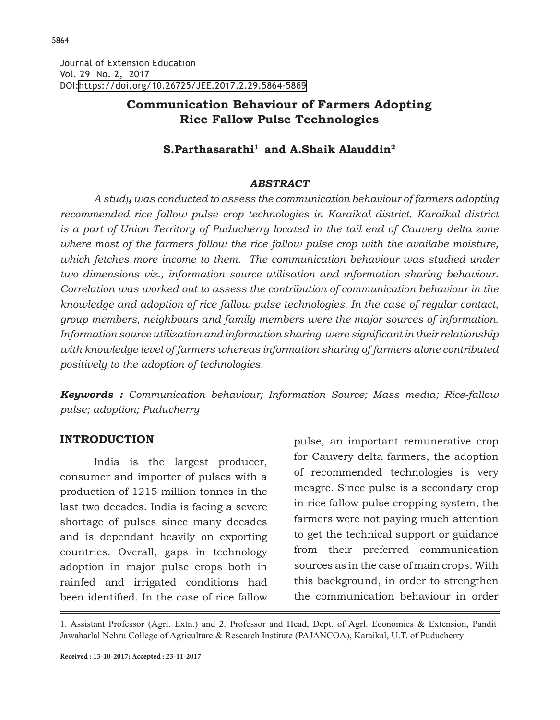Journal of Extension Education Vol. 29 No. 2, 2017 DOI:<https://doi.org/10.26725/JEE.2017.2.29.5864-5869>

# **Communication Behaviour of Farmers Adopting Rice Fallow Pulse Technologies**

## **S.Parthasarathi1 and A.Shaik Alauddin2**

#### *ABSTRACT*

*A study was conducted to assess the communication behaviour of farmers adopting recommended rice fallow pulse crop technologies in Karaikal district. Karaikal district is a part of Union Territory of Puducherry located in the tail end of Cauvery delta zone where most of the farmers follow the rice fallow pulse crop with the availabe moisture,*  which fetches more income to them. The communication behaviour was studied under *two dimensions viz., information source utilisation and information sharing behaviour. Correlation was worked out to assess the contribution of communication behaviour in the knowledge and adoption of rice fallow pulse technologies. In the case of regular contact, group members, neighbours and family members were the major sources of information. Information source utilization and information sharing were significant in their relationship with knowledge level of farmers whereas information sharing of farmers alone contributed positively to the adoption of technologies.*

*Keywords : Communication behaviour; Information Source; Mass media; Rice-fallow pulse; adoption; Puducherry*

### **INTRODUCTION**

India is the largest producer, consumer and importer of pulses with a production of 1215 million tonnes in the last two decades. India is facing a severe shortage of pulses since many decades and is dependant heavily on exporting countries. Overall, gaps in technology adoption in major pulse crops both in rainfed and irrigated conditions had been identified. In the case of rice fallow

pulse, an important remunerative crop for Cauvery delta farmers, the adoption of recommended technologies is very meagre. Since pulse is a secondary crop in rice fallow pulse cropping system, the farmers were not paying much attention to get the technical support or guidance from their preferred communication sources as in the case of main crops. With this background, in order to strengthen the communication behaviour in order

1. Assistant Professor (Agrl. Extn.) and 2. Professor and Head, Dept. of Agrl. Economics & Extension, Pandit Jawaharlal Nehru College of Agriculture & Research Institute (PAJANCOA), Karaikal, U.T. of Puducherry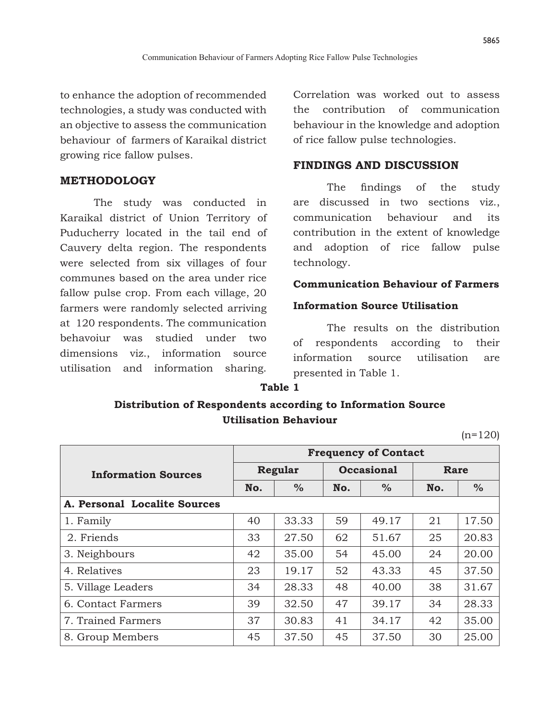to enhance the adoption of recommended technologies, a study was conducted with an objective to assess the communication behaviour of farmers of Karaikal district growing rice fallow pulses.

### **METHODOLOGY**

The study was conducted in Karaikal district of Union Territory of Puducherry located in the tail end of Cauvery delta region. The respondents were selected from six villages of four communes based on the area under rice fallow pulse crop. From each village, 20 farmers were randomly selected arriving at 120 respondents. The communication behavoiur was studied under two dimensions viz., information source utilisation and information sharing.

Correlation was worked out to assess the contribution of communication behaviour in the knowledge and adoption of rice fallow pulse technologies.

## **FINDINGS AND DISCUSSION**

 The findings of the study are discussed in two sections viz., communication behaviour and its contribution in the extent of knowledge and adoption of rice fallow pulse technology.

### **Communication Behaviour of Farmers**

### **Information Source Utilisation**

The results on the distribution of respondents according to their information source utilisation are presented in Table 1.

### **Table 1**

# **Distribution of Respondents according to Information Source Utilisation Behaviour**

 $(n=120)$ 

|                              | <b>Frequency of Contact</b> |               |                   |       |             |       |  |
|------------------------------|-----------------------------|---------------|-------------------|-------|-------------|-------|--|
| <b>Information Sources</b>   | Regular                     |               | <b>Occasional</b> |       | <b>Rare</b> |       |  |
|                              | No.                         | $\frac{0}{0}$ | No.               | $\%$  | No.         | $\%$  |  |
| A. Personal Localite Sources |                             |               |                   |       |             |       |  |
| 1. Family                    | 40                          | 33.33         | 59                | 49.17 | 21          | 17.50 |  |
| 2. Friends                   | 33                          | 27.50         | 62                | 51.67 | 25          | 20.83 |  |
| 3. Neighbours                | 42                          | 35.00         | 54                | 45.00 | 24          | 20.00 |  |
| 4. Relatives                 | 23                          | 19.17         | 52                | 43.33 | 45          | 37.50 |  |
| 5. Village Leaders           | 34                          | 28.33         | 48                | 40.00 | 38          | 31.67 |  |
| 6. Contact Farmers           | 39                          | 32.50         | 47                | 39.17 | 34          | 28.33 |  |
| 7. Trained Farmers           | 37                          | 30.83         | 41                | 34.17 | 42          | 35.00 |  |
| 8. Group Members             | 45                          | 37.50         | 45                | 37.50 | 30          | 25.00 |  |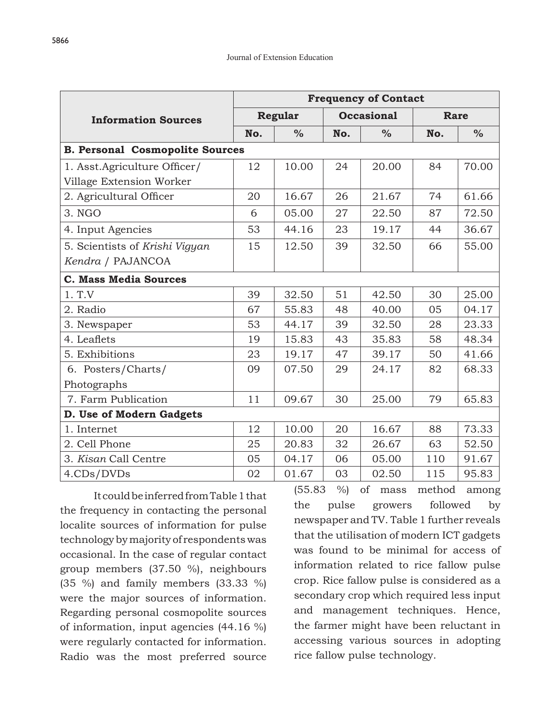|                                        | <b>Frequency of Contact</b> |       |                      |       |             |               |  |
|----------------------------------------|-----------------------------|-------|----------------------|-------|-------------|---------------|--|
| <b>Information Sources</b>             | <b>Regular</b>              |       | <b>Occasional</b>    |       | <b>Rare</b> |               |  |
|                                        | No.                         | $\%$  | $\frac{0}{0}$<br>No. |       | No.         | $\frac{0}{0}$ |  |
| <b>B. Personal Cosmopolite Sources</b> |                             |       |                      |       |             |               |  |
| 1. Asst. Agriculture Officer/          | 12                          | 10.00 | 24                   | 20.00 | 84          | 70.00         |  |
| Village Extension Worker               |                             |       |                      |       |             |               |  |
| 2. Agricultural Officer                | 20                          | 16.67 | 26                   | 21.67 | 74          | 61.66         |  |
| 3. NGO                                 | 6                           | 05.00 | 27                   | 22.50 | 87          | 72.50         |  |
| 4. Input Agencies                      | 53                          | 44.16 | 23                   | 19.17 | 44          | 36.67         |  |
| 5. Scientists of Krishi Vigyan         | 15                          | 12.50 | 39                   | 32.50 | 66          | 55.00         |  |
| Kendra / PAJANCOA                      |                             |       |                      |       |             |               |  |
| <b>C. Mass Media Sources</b>           |                             |       |                      |       |             |               |  |
| 1. T.V                                 | 39                          | 32.50 | 51                   | 42.50 | 30          | 25.00         |  |
| 2. Radio                               | 67                          | 55.83 | 48                   | 40.00 | 05          | 04.17         |  |
| 3. Newspaper                           | 53                          | 44.17 | 39                   | 32.50 | 28          | 23.33         |  |
| 4. Leaflets                            | 19                          | 15.83 | 43                   | 35.83 | 58          | 48.34         |  |
| 5. Exhibitions                         | 23                          | 19.17 | 47                   | 39.17 | 50          | 41.66         |  |
| 6. Posters/Charts/                     | 09                          | 07.50 | 29                   | 24.17 | 82          | 68.33         |  |
| Photographs                            |                             |       |                      |       |             |               |  |
| 7. Farm Publication                    | 11                          | 09.67 | 30                   | 25.00 | 79          | 65.83         |  |
| D. Use of Modern Gadgets               |                             |       |                      |       |             |               |  |
| 1. Internet                            | 12                          | 10.00 | 20                   | 16.67 | 88          | 73.33         |  |
| 2. Cell Phone                          | 25                          | 20.83 | 32                   | 26.67 | 63          | 52.50         |  |
| 3. Kisan Call Centre                   | 05                          | 04.17 | 06                   | 05.00 | 110         | 91.67         |  |
| 4.CDs/DVDs                             | 02                          | 01.67 | 03                   | 02.50 | 115         | 95.83         |  |

It could be inferred from Table 1 that the frequency in contacting the personal localite sources of information for pulse technology by majority of respondents was occasional. In the case of regular contact group members (37.50 %), neighbours (35 %) and family members (33.33 %) were the major sources of information. Regarding personal cosmopolite sources of information, input agencies (44.16 %) were regularly contacted for information. Radio was the most preferred source

(55.83 %) of mass method among the pulse growers followed by newspaper and TV. Table 1 further reveals that the utilisation of modern ICT gadgets was found to be minimal for access of information related to rice fallow pulse crop. Rice fallow pulse is considered as a secondary crop which required less input and management techniques. Hence, the farmer might have been reluctant in accessing various sources in adopting rice fallow pulse technology.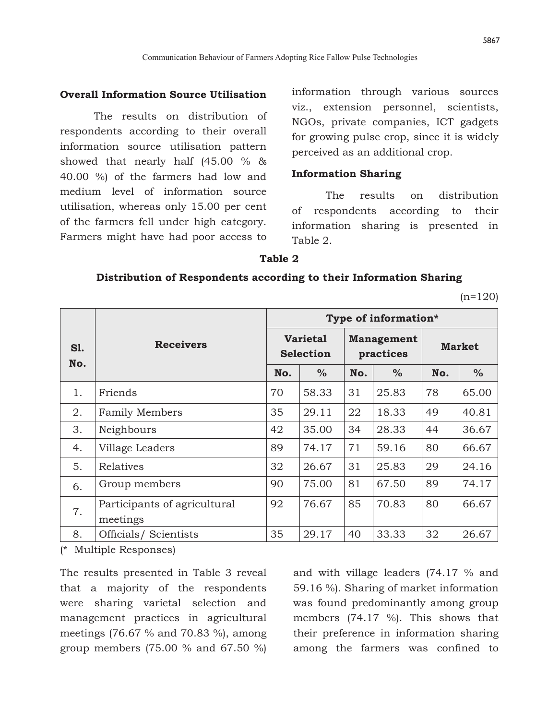### **Overall Information Source Utilisation**

The results on distribution of respondents according to their overall information source utilisation pattern showed that nearly half (45.00 % & 40.00 %) of the farmers had low and medium level of information source utilisation, whereas only 15.00 per cent of the farmers fell under high category. Farmers might have had poor access to information through various sources viz., extension personnel, scientists, NGOs, private companies, ICT gadgets for growing pulse crop, since it is widely perceived as an additional crop.

### **Information Sharing**

The results on distribution of respondents according to their information sharing is presented in Table 2.

#### **Table 2**

#### **Distribution of Respondents according to their Information Sharing**

 $(n=120)$ 

|                   |                                          |                                     |       |                                |               | Type of information* |               |  |  |
|-------------------|------------------------------------------|-------------------------------------|-------|--------------------------------|---------------|----------------------|---------------|--|--|
| <b>S1.</b><br>No. | <b>Receivers</b>                         | <b>Varietal</b><br><b>Selection</b> |       | <b>Management</b><br>practices |               | <b>Market</b>        |               |  |  |
|                   |                                          | No.                                 | $\%$  | No.                            | $\frac{0}{0}$ | No.                  | $\frac{0}{0}$ |  |  |
| 1.                | Friends                                  | 70                                  | 58.33 | 31                             | 25.83         | 78                   | 65.00         |  |  |
| 2.                | <b>Family Members</b>                    | 35                                  | 29.11 | 22                             | 18.33         | 49                   | 40.81         |  |  |
| 3.                | Neighbours                               | 42                                  | 35.00 | 34                             | 28.33         | 44                   | 36.67         |  |  |
| 4.                | Village Leaders                          | 89                                  | 74.17 | 71                             | 59.16         | 80                   | 66.67         |  |  |
| 5.                | Relatives                                | 32                                  | 26.67 | 31                             | 25.83         | 29                   | 24.16         |  |  |
| 6.                | Group members                            | 90                                  | 75.00 | 81                             | 67.50         | 89                   | 74.17         |  |  |
| 7.                | Participants of agricultural<br>meetings | 92                                  | 76.67 | 85                             | 70.83         | 80                   | 66.67         |  |  |
| 8.                | Officials/Scientists                     | 35                                  | 29.17 | 40                             | 33.33         | 32                   | 26.67         |  |  |

(\* Multiple Responses)

The results presented in Table 3 reveal that a majority of the respondents were sharing varietal selection and management practices in agricultural meetings (76.67 % and 70.83 %), among group members (75.00 % and 67.50 %) and with village leaders (74.17 % and 59.16 %). Sharing of market information was found predominantly among group members (74.17 %). This shows that their preference in information sharing among the farmers was confined to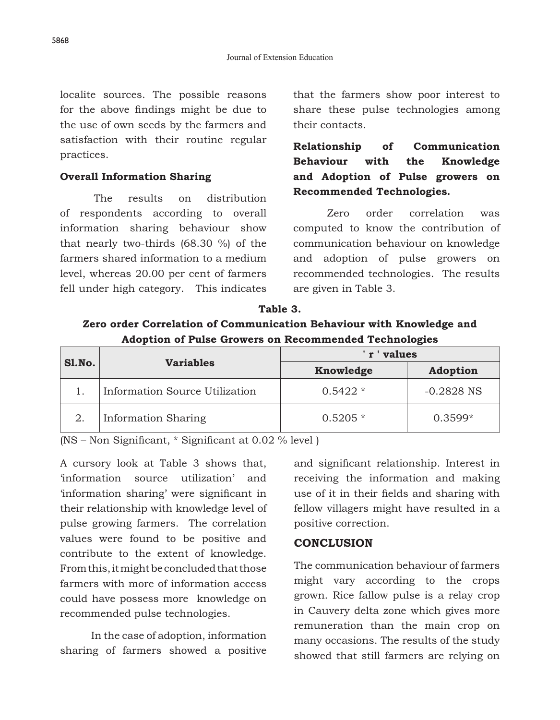localite sources. The possible reasons for the above findings might be due to the use of own seeds by the farmers and satisfaction with their routine regular practices.

## **Overall Information Sharing**

The results on distribution of respondents according to overall information sharing behaviour show that nearly two-thirds (68.30 %) of the farmers shared information to a medium level, whereas 20.00 per cent of farmers fell under high category. This indicates that the farmers show poor interest to share these pulse technologies among their contacts.

# **Relationship of Communication Behaviour with the Knowledge and Adoption of Pulse growers on Recommended Technologies.**

 Zero order correlation was computed to know the contribution of communication behaviour on knowledge and adoption of pulse growers on recommended technologies. The results are given in Table 3.

**Table 3. Zero order Correlation of Communication Behaviour with Knowledge and Adoption of Pulse Growers on Recommended Technologies**

|        |                                | values    |              |  |  |  |
|--------|--------------------------------|-----------|--------------|--|--|--|
| Sl.No. | <b>Variables</b>               | Knowledge |              |  |  |  |
|        | Information Source Utilization | $0.5422*$ | $-0.2828$ NS |  |  |  |
|        | <b>Information Sharing</b>     | $0.5205*$ | $0.3599*$    |  |  |  |

(NS – Non Significant, \* Significant at 0.02 % level )

A cursory look at Table 3 shows that, 'information source utilization' and 'information sharing' were significant in their relationship with knowledge level of pulse growing farmers. The correlation values were found to be positive and contribute to the extent of knowledge. From this, it might be concluded that those farmers with more of information access could have possess more knowledge on recommended pulse technologies.

 In the case of adoption, information sharing of farmers showed a positive and significant relationship. Interest in receiving the information and making use of it in their fields and sharing with fellow villagers might have resulted in a positive correction.

# **CONCLUSION**

The communication behaviour of farmers might vary according to the crops grown. Rice fallow pulse is a relay crop in Cauvery delta zone which gives more remuneration than the main crop on many occasions. The results of the study showed that still farmers are relying on